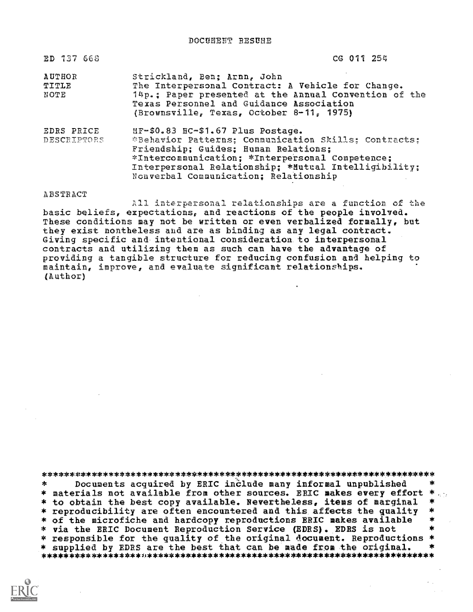DOCUSEST RESUBE

| ED 737 668                | CG 011 254                                                                                                                                                                                                                                                                            |
|---------------------------|---------------------------------------------------------------------------------------------------------------------------------------------------------------------------------------------------------------------------------------------------------------------------------------|
| AUTHOR<br>TITLE<br>NOTE   | Strickland, Ben; Arnn, John<br>The Interpersonal Contract: A Vehicle for Change.<br>14p.; Paper presented at the Annual Convention of the<br>Texas Personnel and Guidance Association<br>(Brownsville, Texas, October 8-11, 1975)                                                     |
| EDRS PRICE<br>DESCRIPTORS | MF-\$0.83 HC-\$1.67 Plus Postage.<br>*Behavior Patterns; Communication Skills; Contracts;<br>Friendship; Guides; Human Relations;<br>*Intercommunication; *Interpersonal Competence;<br>Interpersonal Relationship; *Mutual Intelligibility;<br>Nonverbal Communication; Relationship |

ABSTRACT

All interpersonal relationships are a function of the basic beliefs, expectations, and reactions of the people involved. These conditions may not be written or even verbalized formally, but they exist nontheless and are as binding as any legal contract. Giving specific and intentional consideration to interpersonal contracts and utilizing them as such can have the advantage of providing a tangible structure for reducing confusion and helping to maintain, improve, and evaluate significant relationships.  $(Author)$ 

 $\mathbf{r}$ Documents acquired by ERIC include many informal unpublished \* materials not available from other sources. ERIC makes every effort \* \* to obtain the best copy available. Nevertheless, items of marginal 素 \* reproducibility are often encountered and this affects the quality \* of the microfiche and hardcopy reproductions ERIC makes available  $\frac{1}{2}$ \* via the ERIC Document Reproduction Service (EDRS). EDRS is not \* responsible for the quality of the original document. Reproductions \* \* supplied by EDRS are the best that can be made from the original.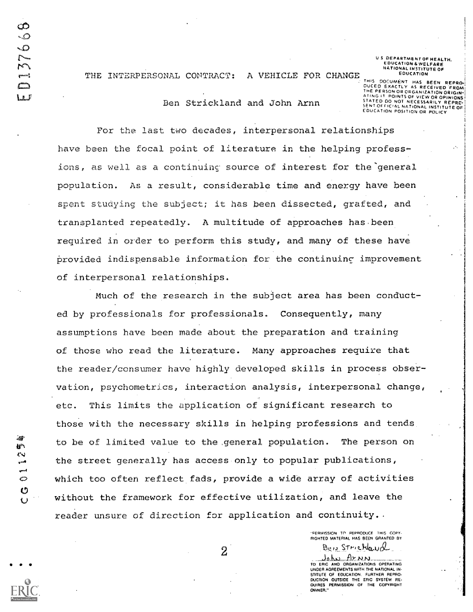ŀ۲ Ľ.

 $\ddot{\circ}$ 

 $\mathbf{C}$ 

US DEPARTMENT OF HEALTH.<br>EDUCATION & WELFARE<br>NATIONAL INSTITUTE OF EDUCATION

THE INTERPERSONAL CONTRACT: A VEHICLE FOR CHANGE

Ben Strickland and John Arnn

DOCUMENT HAS BEEN REPRO-That C DUCED EXACTLY AS RECEIVED FROM The Castle DINTS OF VIEW OR OPHING

For the last two decades, interpersonal relationships have been the focal point of literature in the helping professions, as well as a continuing source of interest for the general population. As a result, considerable time and energy have been spent studying the subject; it has been dissected, grafted, and transplanted repeatedly. A multitude of approaches has been required in order to perform this study, and many of these have provided indispensable information for the continuing improvement of interpersonal relationships.

Much of the research in the subject area has been conducted by professionals for professionals. Consequently, many assumptions have been made about the preparation and training of those who read the literature. Many approaches require that the reader/consumer have highly developed skills in process observation, psychometrics, interaction analysis, interpersonal change, This limits the application of significant research to etc. those with the necessary skills in helping professions and tends to be of limited value to the general population. The person on the street generally has access only to popular publications, which too often reflect fads, provide a wide array of activities without the framework for effective utilization, and leave the reader unsure of direction for application and continuity..

> "PERMISSION TO REPRODUCE THIS COPY-RIGHTED MATERIAL HAS BEEN GRANTED BY Beis Strickland

> $A$ r NN ـنيطول TO ERIC AND ORGANIZATIONS OPERATING UNDER AGREEMENTS WITH THE NATIONAL IN-STITUTE OF EDUCATION. FURTHER REPRO-DUCTION OUTSIDE THE ERIC SYSTEM RE-<br>QUIRES PERMISSION OF THE COPYRIGHT OWNER."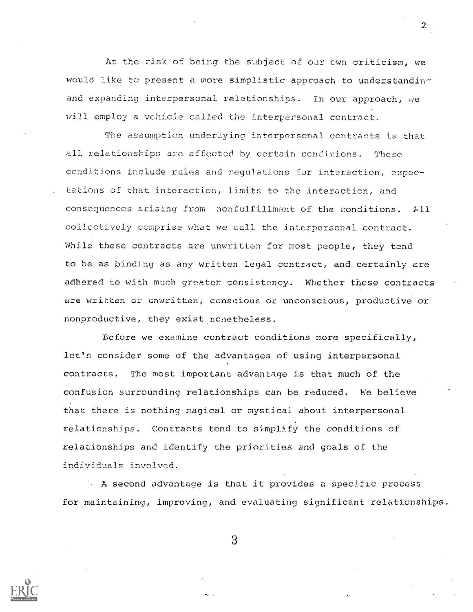At the risk of being the subject of our own criticism, we would like to present a more simplistic approach to understanding and expanding interpersonal relationships. In our approach, we will employ a vehicle called the interpersonal contract.

The assumption underlying interpersonal contracts is that all relationships are affected by certain conditions. These conditions include rules and requlations for interaction, expectations of that interaction, limits to the interaction, and consequences arising from nonfulfillment of the conditions.  $711$ collectively comprise what we call the interpersonal contract. While these contracts are unwritten for most people, they tend to be as binding as any written legal contract, and certainly are adhered to with much greater consistency. Whether these contracts are written or unwritten, conscious or unconscious, productive or nonproductive, they exist nonetheless.

Before we examine contract conditions more specifically, let's consider some of the advantages of using interpersonal contracts. The most important advantage is that much of the confusion surrounding relationships can be reduced. We believe that there is nothing magical or mystical about interpersonal relationships. Contracts tend to simplify the conditions of relationships and identify the priorities and goals of the individuals involved.

A second advantage is that it provides a specific process for maintaining, improving, and evaluating significant relationships.



3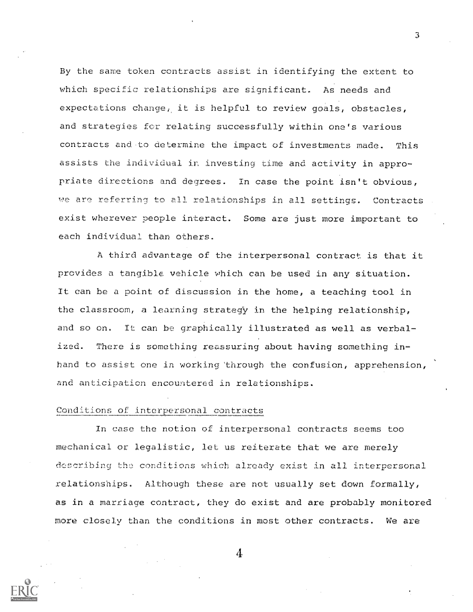By the same token contracts assist in identifying the extent to which specific relationships are significant. As needs and expectations change, it is helpful to review goals, obstacles, and strategies for relating successfully within one's various contracts and to determine the impact of investments made. This assists the individual in investing time and activity in appropriate directions and degrees. In case the point isn't obvious, we are referring to all relationships in all settings. Contracts exist wherever people interact. Some are just more important to each individual than others.

A third advantage of the interpersonal contract is that it provides a tangible vehicle which can be used in any situation. t can be a point of discussion in the home, a teaching tool in the classroom, a learning strategy in the helping relationship, and so on. It can be graphically illustrated as well as verbalized. There is something reassuring about having something inhand to assist one in working 'through the confusion, apprehension, and anticipation encountered in relationships.

## Conditions of interpersonal contracts

In case the notion of interpersonal contracts seems too mechanical or legalistic, let us reiterate that we are merely describing the conditions which already exist in all interpersonal relationships. Although these are not usually set down formally, as in a marriage contract, they do exist and are probably monitored more closely than the conditions in most other contracts. We are

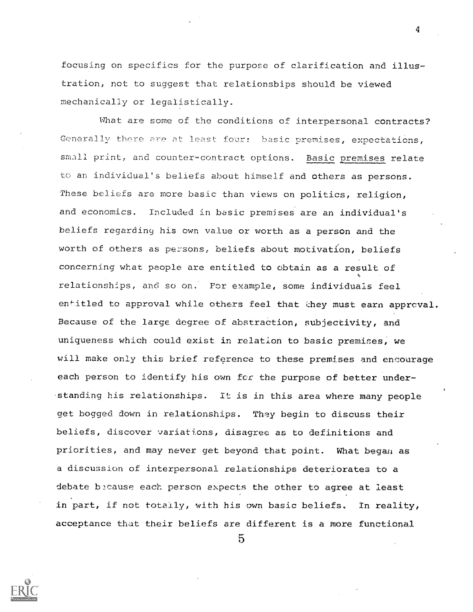focusing on specifies for the purpose of clarification and illustration, not to suggest that relationsbips should be viewed mechanically or legalistically.

What are some of the conditions of interpersonal contracts? Generally there are at least four: basic premises, expectations, small print, and counter-contract options. Basic premises relate to an individual's beliefs about himself and others as persons. These beliefs are more basic than views on politics, religion, and economics. Included in basic premises are an individual's beliefs regarding his own value or worth as a person and the worth of others as persons, beliefs about motivation, beliefs concerning what people are entitled to obtain as a result of t between the control of the control of the control of the control of the control of the control of the control of the control of the control of the control of the control of the control of the control of the control of th relationships, and so on. For example, some individuals feel entitled to approval while others feel that they must earn approval. Because of the large degree of abtraetion, subjectivity, and uniqueness which could exist in relation to basic premises, we will make only this brief reference to these premises and encourage each person to identify his own for the purpose of better understanding his relationships. It is in this area where many people get bogged down in relationships. They begin to discuss their beliefs, discover variations, disagree as to definitions and priorities, and may never get beyond that point. What began as a discussion of interpersonal relationships deteriorates to a debate because each person expects the other to agree at least in part, if not totally, with his own basic beliefs. In reality, acceptance that their beliefs are different is a more functional

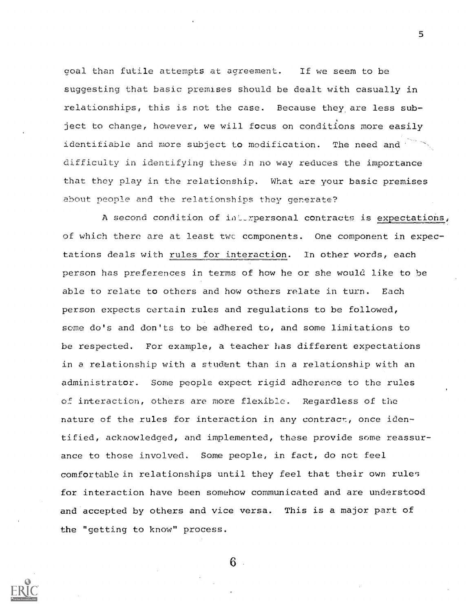goal than futile attempts at agreement. If we seem to be suggesting that basic premises should be dealt with casually in relationships, this is not the case. Because they are less subject to change, however, we will focus on conditions more easily identifiable and more subject to modification. The need and  $\sim$ difficulty in identifying these in no way reduces the importance that they play in the relationship. What are your basic premises about people and the relationships they generate?

A second condition of interpersonal contracts is expectations, of which there are at least two components. One component in expectations deals with rules for interaction. In other words, each person has preferences in terms of how he or she would like to be able to relate to others and how others relate in turn. Each person expects certain rules and regulations to be followed, some do's and don'ts to be adhered to, and some limitations to be respected. For example, a teacher has different expectations in a relationship with a student than in a relationship with an administrator. Some people expect rigid adherence to the rules of interaction, others are more flexible. Regardless of the nature of the rules for interaction in any contract, once identified, acknowledged, and implemented, these provide some reassurance to those involved. Some people, in fact, do not feel comfortable in relationships until they feel that their own rules for interaction have been somehow communicated and are understood and accepted by others and vice versa. This is a major part of the "getting to know" process.

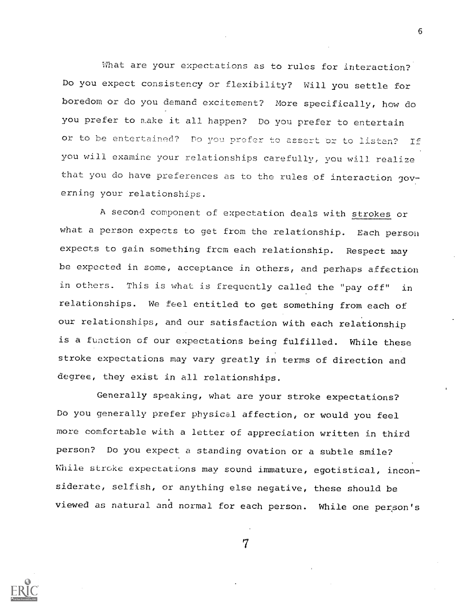What are your expectations as to rules for interaction? Do you expect consistency or flexibility? Will you settle for boredom or do you demand excitement? More specifically, how do you prefer to make it all happen? Do you prefer to entertain or to be entertained? Do you prefer to assert or to listen? If you will examine your relationships carefully, you will realize that you do have preferences as to the rules of interaction governing your relationships.

A second component of expectation deals with strokes or what a person expects to get from the relationship. Each person expects to gain something from each relationship. Respect may be expected in some, acceptance in others, and perhaps affection in others. This is what is frequently called the "pay off" in relationships. We feel entitled to get something from each of our relationships, and our satisfaction with each relationship is a function of our expectations being fulfilled. While these stroke expectations may vary greatly in terms of direction and degree, they exist in all relationships.

Generally speaking, what are your stroke expectations? Do you generally prefer physical affection, or would you feel more comfortable with a letter of appreciation written in third person? Do you expect a standing ovation or a subtle smile? While stroke expectations may sound immature, egotistical, inconsiderate, selfish, or anything else negative, these should be viewed as natural and normal for each person. While one person's

7

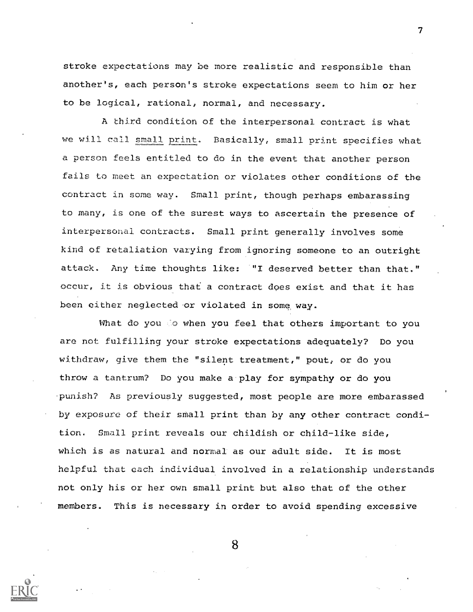stroke expectations may be more realistic and responsible than another's, each person's stroke expectations seem to him or her to be logical, rational, normal, and necessary.

A third condition of the interpersonal contract is what we will call small print. Basically, small print specifies what a person feels entitled to do in the event that another person fails to meet an expectation or violates other conditions of the contract in some way. Small print, though perhaps embarassing to many, is one of the surest ways to ascertain the presence of interpersonal contracts. Small print generally involves some kind of retaliation varying from ignoring someone to an outright attack. Any time thoughts like: "I deserved better than that." occur, it is obvious that a contract does exist and that it has been either neglected or violated in some way.

What do you do when you feel that others important to you are not fulfilling your stroke expectations adequately? Do you withdraw, give them the "silent treatment," pout, or do you throw a tantrum? Do you make a-play for sympathy or do you punish? As previously suggested, most people are more embarassed by exposure of their small print than by any other contract condition. Small print reveals our childish or child-like side, which is as natural and normal as our adult side. It is most helpful that each individual involved in a relationship understands not only his or her own small print but also that of the oth members. This is necessary in order to avoid spending excessive

8

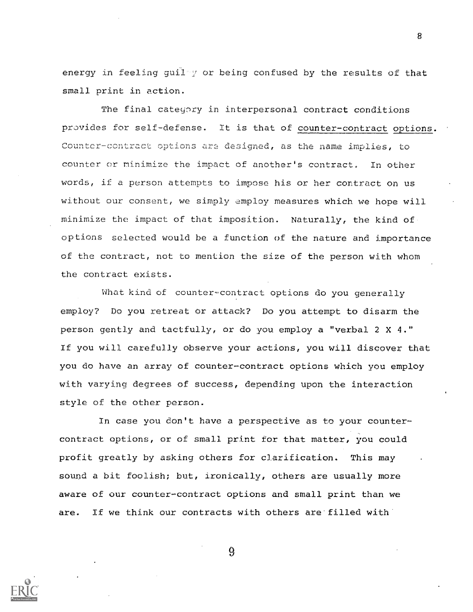energy in feeling guilty or being confused by the results of that small print in action.

The final category in interpersonal contract conditions provides for self-defense. It is that of counter-contract options. Counter-contract options are designed, as the name implies, to counter or minimize the impact of another's contract. In other words, if a person attempts to impose his or her contract on us without our consent, we simply employ measures which we hope will minimize the impact of that imposition. Naturally, the kind of options selected would be a function of the nature and importance of the contract, not to mention the size of the person with whom the contract exists.

What kind of counter-contract options do you generally employ? Do you retreat or attack? Do you attempt to disarm the person gently and tactfully, or do you employ a "verbal  $2 \times 4$ ." If you will carefully observe your actions, you will discover that you do have an array of counter-contract options which vou employ with varying degrees of success, depending upon the interaction style of the other person.

In case you don't have a perspective as to your countercontract options, or of small print for that matter, you could profit greatly bv asking others for clarification. This may sound a bit foolish; but, ironically, others are usually more aware of our counter-contract options and small print than we are. If we think our contracts with others are filled with



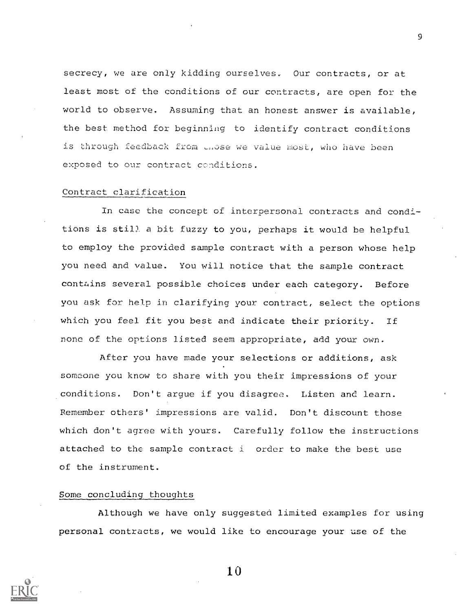secrecy, we are only kidding ourselves. Our contracts, or at least most of the conditions of our contracts, are open for the world to observe. Assuming that an honest anwer is available, the best method for beginning to identify contract conditions is through feedback from ense we value most, who have been exposed to our contract conditions.

## Contract clarification

In case the concept of interpersonal contracts and conditions is still a bit fuzzy to you, perhaps it would be helpful to employ the provided sample contract with a person whose help you need and value. You will notice that the sample contract contains several possible choices under each category. Before you ask for help in clarifying your contract, select the options which you feel fit you best and indicate their priority. If none of the options listed seem appropriate, add your own.

After you have made your selections or additions, ask someone you know to share with you their impressions of your conditions. Don't argue if you disagree. Listen and learn. Remember others' impressions are valid. Don't discount those which don't agree with yours. Carefully follow the instructions attached to the sample contract i order to make the best use of the instrument.

## Some concluding thoughts

Although we have only suggested limited examples for using personal contracts, we would like to encourage your use of the



10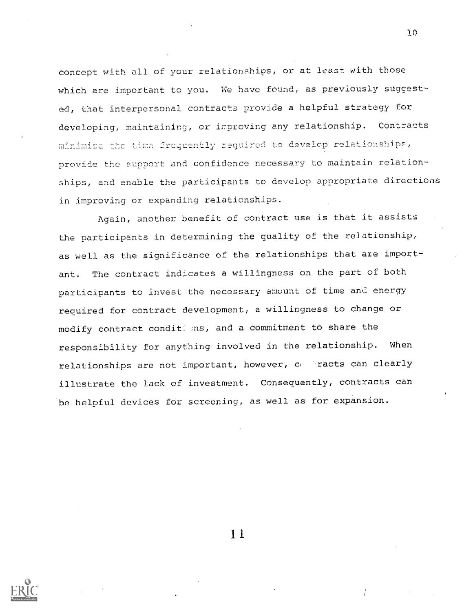concept with all of your relationships, or at least with those which are important to you. We have found, as previously suggested, that interpersonal contracts provide a helpful strategy for developing, maintaining, or improving any relationship. Contracts minimize the time frequently required to develop relationships, provide the support and confidence necessary to maintain relationships, and enable the participants to develop appropriate directions in improving or expanding relationships.

10

Again, another benefit of contract use is that it assists the participants in determining the quality of the relationship, as well as the significance of the relationships that are important. The contract indicates a willingness on the part of both participants to invest the necessary amount of time and energy required for contract development, a willingness to change or modify contract condit ; ns, and a commitment to share the responsibility for anything involved in the relationship. When relationships are not important, however, contracts can clearly illustrate the lack of investment. Consequently, contracts can be helpful devices for screening, as well as for expansion.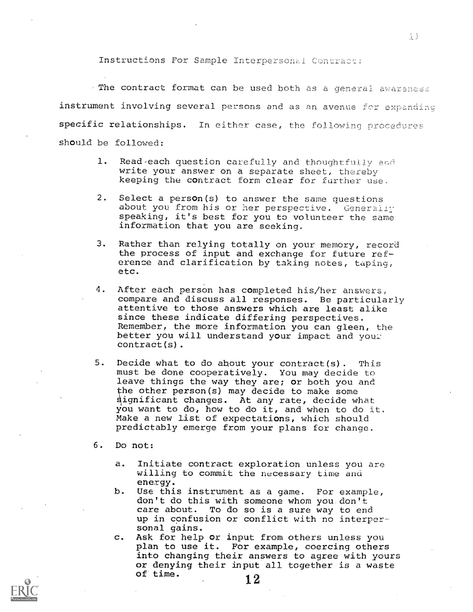Instructions For Sample Interpersonal Contract:

. The contract format can be used both as a general awareness instrument involving several persons and as an avenue for expanding specific relationships. In either case, the following procedures should be followed:

- 1. Read each question carefully and thoughtfully and write your answer on a separate sheet, thereby keeping the contract form clear for further use.
- 2. Select a person(s) to answer the same questions about you from his or her perspective. Generally speaking, it's best for you to volunteer the same information that you are seeking.
- 3. Rather than relying totally on your memory, record the process of input and exchange for future reference and clarification by taking notes, taping, etc.
- 4. After each person has completed his/her answers, compare and discuss all responses. Be particularly attentive to those answers which are least alike since these indicate differing perspectives. Remember, the more information you can gleen, the better you will understand your impact and your contract(s).
- 5. Decide what to do about your contract(s). This must be done cooperatively. You may decide to leave things the way they are; or both you and the other person(s) may decide to make some ignificant changes. At any rate, decide what you want to do, how to do it, and when to do it. Make a new list of expectations, which should predictably emerge from your plans for change.
- 6 Do not:
	- $a.$ Initiate contract exploration unless you are willing to commit the necessary time and energy.
	- b. Use this instrument as a game. For example, don't do this with someone whom you.don't care about. To do so is a sure way to end up in confusion or conflict with no interpersonal gains.
	- Ask for help or input from others unless you  $\mathbf{C}$ . plan to use it. For example, coercing others into changing their answers to agree with yours or denying their input all together is a waste of time.  $12$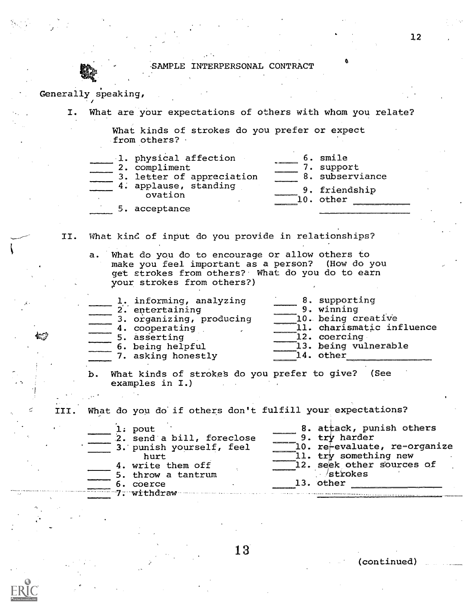SAMPLE INTERPERSONAL CONTRACT

## Generally speaking,

I. What are your expectations of others with whom you relate?

What kinds of strokes do you prefer or expect from others?  $\cdot$ 

| 1. physical affection            | 6. smile        |  |
|----------------------------------|-----------------|--|
| 2. compliment                    | support         |  |
| 3. letter of appreciation        | 8. subserviance |  |
| 4. applause, standing<br>ovation | 9. friendship   |  |
|                                  | 10. other       |  |
| 5. acceptance                    |                 |  |

II. What kind of input do you provide in relationships?

a. What do you do to encourage or allow others to make you feel important as a person? (How do you get strokes from others?. What do you do to earn your strokes from others?)

|  | 1. informing, analyzing<br>2. entertaining<br>3. organizing, producing<br>4. cooperating<br>5. asserting<br>6. being helpful | 8. supporting<br>9. winning<br>10. being creative<br>11. charismatic influence<br>12. coercing<br>13. being vulnerable |
|--|------------------------------------------------------------------------------------------------------------------------------|------------------------------------------------------------------------------------------------------------------------|
|  |                                                                                                                              |                                                                                                                        |
|  | 7. asking honestly                                                                                                           | 14. other                                                                                                              |

b. What kinds of strokes do you prefer to give? (See examples in I.) a

What do you do if others don't fulfill your expectations? III.

| $l:$ pout                 | 8. attack, punish others     |
|---------------------------|------------------------------|
| 2. send a bill, foreclose | 9. try harder                |
| 3. punish yourself, feel  | 10. re-evaluate, re-organize |
| hurt                      | 11. try something new        |
| 4. write them off         | 12. seek other sources of    |
| 5. throw a tantrum        | /strokes                     |
| 6. coerce                 | 13. other                    |
| $-7 -$ withdraw           |                              |